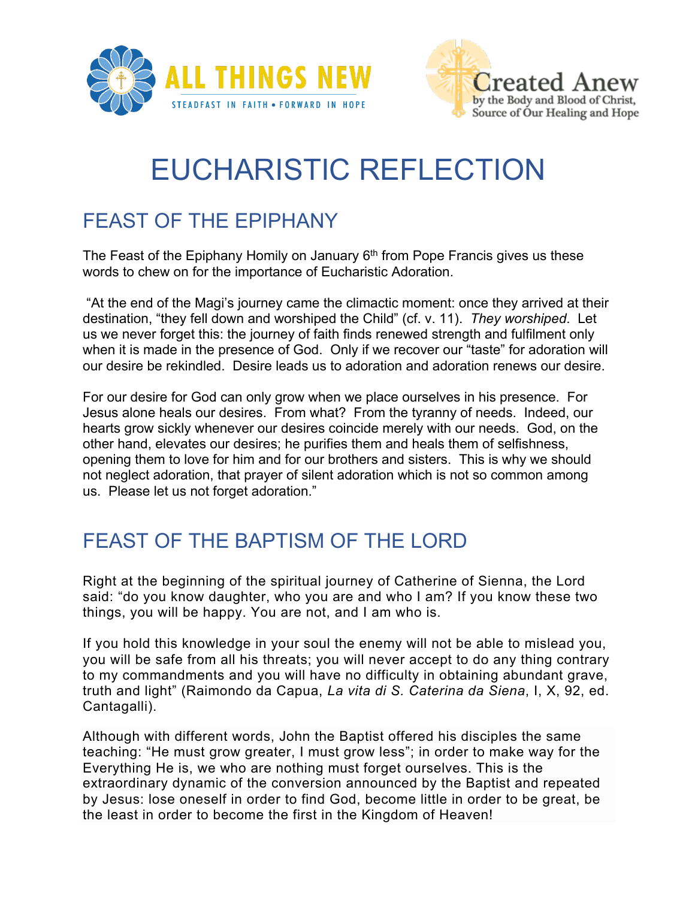



## EUCHARISTIC REFLECTION

## FEAST OF THE EPIPHANY

The Feast of the Epiphany Homily on January  $6<sup>th</sup>$  from Pope Francis gives us these words to chew on for the importance of Eucharistic Adoration.

"At the end of the Magi's journey came the climactic moment: once they arrived at their destination, "they fell down and worshiped the Child" (cf. v. 11). *They worshiped*. Let us we never forget this: the journey of faith finds renewed strength and fulfilment only when it is made in the presence of God. Only if we recover our "taste" for adoration will our desire be rekindled. Desire leads us to adoration and adoration renews our desire.

For our desire for God can only grow when we place ourselves in his presence. For Jesus alone heals our desires. From what? From the tyranny of needs. Indeed, our hearts grow sickly whenever our desires coincide merely with our needs. God, on the other hand, elevates our desires; he purifies them and heals them of selfishness, opening them to love for him and for our brothers and sisters. This is why we should not neglect adoration, that prayer of silent adoration which is not so common among us. Please let us not forget adoration."

## FEAST OF THE BAPTISM OF THE LORD

Right at the beginning of the spiritual journey of Catherine of Sienna, the Lord said: "do you know daughter, who you are and who I am? If you know these two things, you will be happy. You are not, and I am who is.

If you hold this knowledge in your soul the enemy will not be able to mislead you, you will be safe from all his threats; you will never accept to do any thing contrary to my commandments and you will have no difficulty in obtaining abundant grave, truth and light" (Raimondo da Capua, *La vita di S. Caterina da Siena*, I, X, 92, ed. Cantagalli).

Although with different words, John the Baptist offered his disciples the same teaching: "He must grow greater, I must grow less"; in order to make way for the Everything He is, we who are nothing must forget ourselves. This is the extraordinary dynamic of the conversion announced by the Baptist and repeated by Jesus: lose oneself in order to find God, become little in order to be great, be the least in order to become the first in the Kingdom of Heaven!